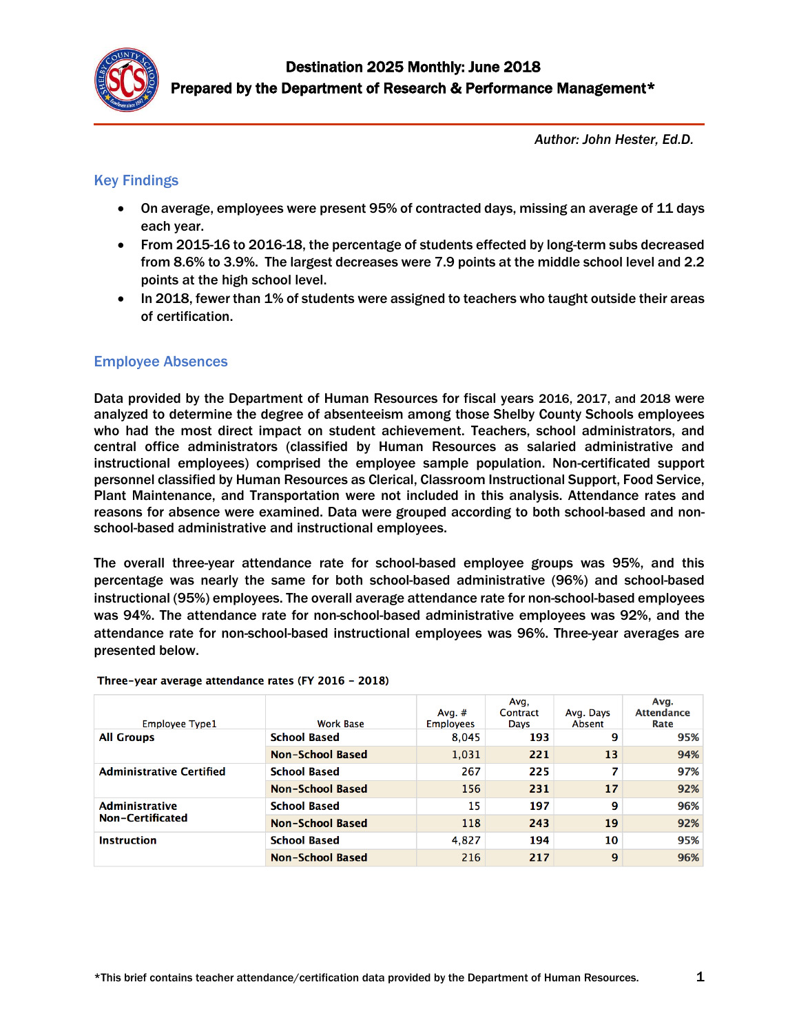

*Author: John Hester, Ed.D.*

### Key Findings

- On average, employees were present 95% of contracted days, missing an average of 11 days each year.
- From 2015-16 to 2016-18, the percentage of students effected by long-term subs decreased from 8.6% to 3.9%. The largest decreases were 7.9 points at the middle school level and 2.2 points at the high school level.
- In 2018, fewer than 1% of students were assigned to teachers who taught outside their areas of certification.

### Employee Absences

Data provided by the Department of Human Resources for fiscal years 2016, 2017, and 2018 were analyzed to determine the degree of absenteeism among those Shelby County Schools employees who had the most direct impact on student achievement. Teachers, school administrators, and central office administrators (classified by Human Resources as salaried administrative and instructional employees) comprised the employee sample population. Non-certificated support personnel classified by Human Resources as Clerical, Classroom Instructional Support, Food Service, Plant Maintenance, and Transportation were not included in this analysis. Attendance rates and reasons for absence were examined. Data were grouped according to both school-based and nonschool-based administrative and instructional employees.

The overall three-year attendance rate for school-based employee groups was 95%, and this percentage was nearly the same for both school-based administrative (96%) and school-based instructional (95%) employees. The overall average attendance rate for non-school-based employees was 94%. The attendance rate for non-school-based administrative employees was 92%, and the attendance rate for non-school-based instructional employees was 96%. Three-year averages are presented below.

| <b>Employee Type1</b>           | <b>Work Base</b>        | Avg. $#$<br><b>Employees</b> | Avg,<br>Contract<br>Days | Avg. Days<br>Absent | Ava.<br><b>Attendance</b><br>Rate |
|---------------------------------|-------------------------|------------------------------|--------------------------|---------------------|-----------------------------------|
| <b>All Groups</b>               | <b>School Based</b>     | 8,045                        | 193                      | 9                   | 95%                               |
|                                 | <b>Non-School Based</b> | 1,031                        | 221                      | 13                  | 94%                               |
| <b>Administrative Certified</b> | <b>School Based</b>     | 267                          | 225                      | 7                   | 97%                               |
|                                 | <b>Non-School Based</b> | 156                          | 231                      | 17                  | 92%                               |
| <b>Administrative</b>           | <b>School Based</b>     | 15                           | 197                      | 9                   | 96%                               |
| Non-Certificated                | Non-School Based        | 118                          | 243                      | 19                  | 92%                               |
| <b>Instruction</b>              | <b>School Based</b>     | 4.827                        | 194                      | 10                  | 95%                               |
|                                 | Non-School Based        | 216                          | 217                      | 9                   | 96%                               |

Three-year average attendance rates (FY 2016 - 2018)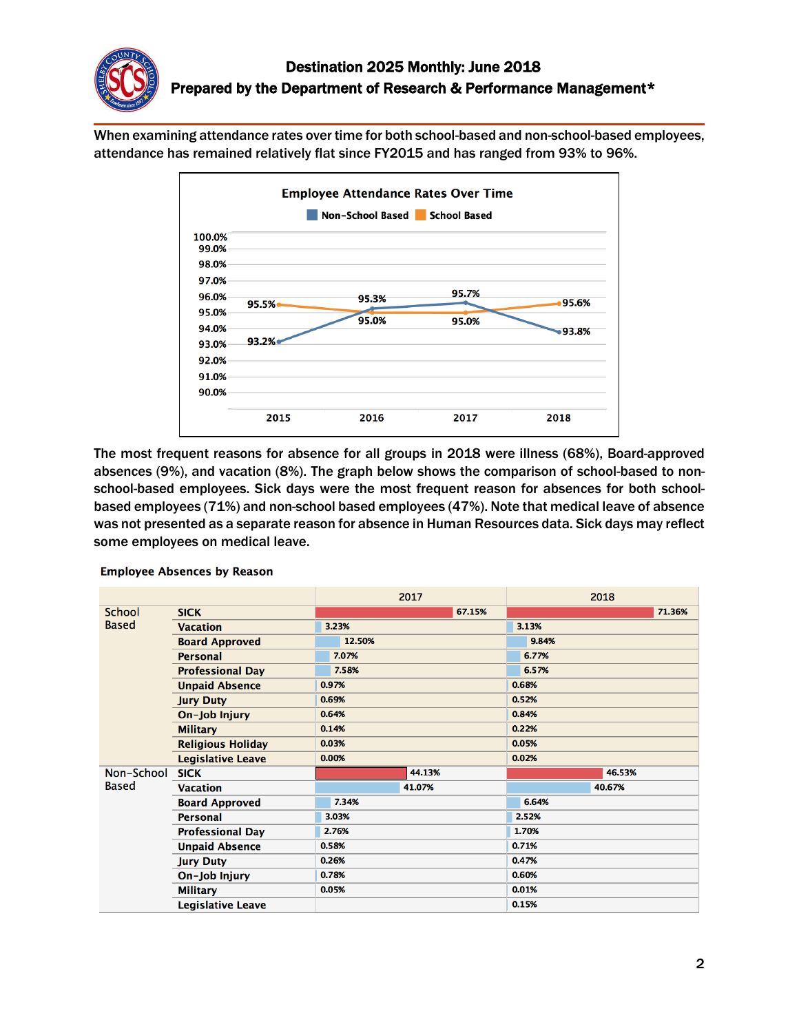

When examining attendance rates over time for both school-based and non-school-based employees, attendance has remained relatively flat since FY2015 and has ranged from 93% to 96%.



The most frequent reasons for absence for all groups in 2018 were illness (68%), Board-approved absences (9%), and vacation (8%). The graph below shows the comparison of school-based to nonschool-based employees. Sick days were the most frequent reason for absences for both schoolbased employees (71%) and non-school based employees (47%). Note that medical leave of absence was not presented as a separate reason for absence in Human Resources data. Sick days may reflect some employees on medical leave.

|              |                          |        | 2017   |        |       | 2018   |        |
|--------------|--------------------------|--------|--------|--------|-------|--------|--------|
| School       | <b>SICK</b>              |        |        | 67.15% |       |        | 71.36% |
| <b>Based</b> | <b>Vacation</b>          | 3.23%  |        |        | 3.13% |        |        |
|              | <b>Board Approved</b>    | 12.50% |        |        | 9.84% |        |        |
|              | <b>Personal</b>          | 7.07%  |        |        | 6.77% |        |        |
|              | <b>Professional Day</b>  | 7.58%  |        |        | 6.57% |        |        |
|              | <b>Unpaid Absence</b>    | 0.97%  |        |        | 0.68% |        |        |
|              | <b>Jury Duty</b>         | 0.69%  |        |        | 0.52% |        |        |
|              | On-Job Injury            | 0.64%  |        |        | 0.84% |        |        |
|              | <b>Military</b>          | 0.14%  |        |        | 0.22% |        |        |
|              | <b>Religious Holiday</b> | 0.03%  |        |        | 0.05% |        |        |
|              | <b>Legislative Leave</b> | 0.00%  |        |        | 0.02% |        |        |
| Non-School   | <b>SICK</b>              |        | 44.13% |        |       | 46.53% |        |
| <b>Based</b> | <b>Vacation</b>          |        | 41.07% |        |       | 40.67% |        |
|              | <b>Board Approved</b>    | 7.34%  |        |        | 6.64% |        |        |
|              | <b>Personal</b>          | 3.03%  |        |        | 2.52% |        |        |
|              | <b>Professional Day</b>  | 2.76%  |        |        | 1.70% |        |        |
|              | <b>Unpaid Absence</b>    | 0.58%  |        |        | 0.71% |        |        |
|              | <b>Jury Duty</b>         | 0.26%  |        |        | 0.47% |        |        |
|              | On-Job Injury            | 0.78%  |        |        | 0.60% |        |        |
|              | <b>Military</b>          | 0.05%  |        |        | 0.01% |        |        |
|              | <b>Legislative Leave</b> |        |        |        | 0.15% |        |        |

#### **Employee Absences by Reason**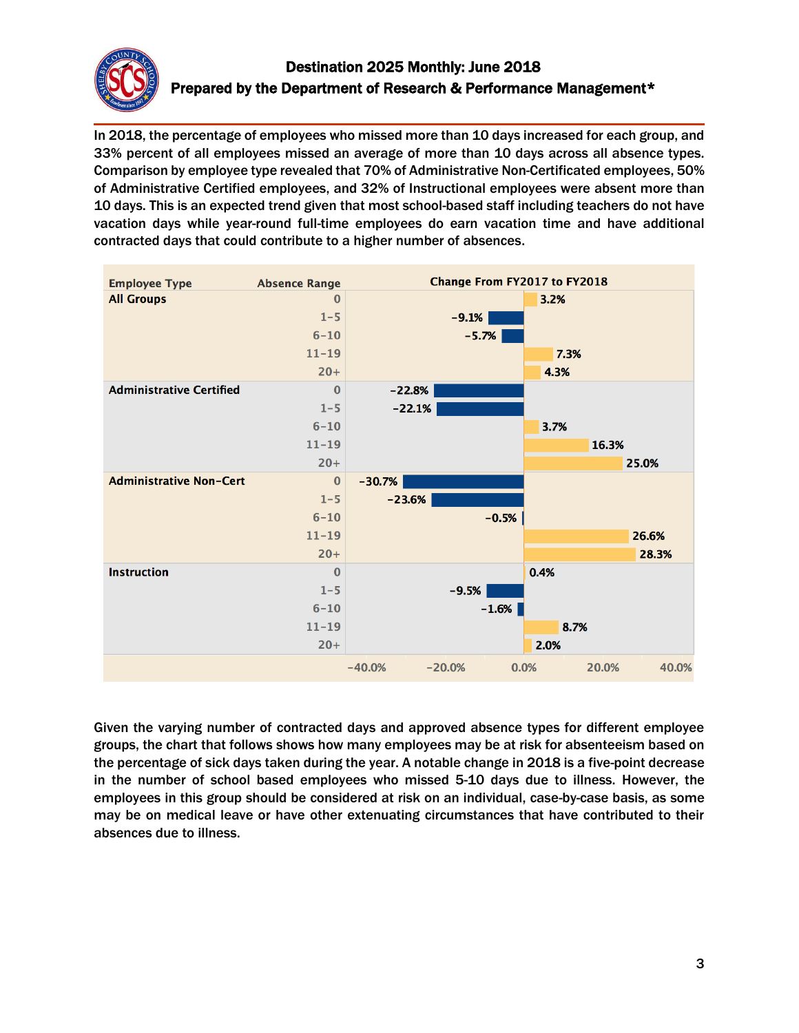

## Destination 2025 Monthly: June 2018 Prepared by the Department of Research & Performance Management\*

In 2018, the percentage of employees who missed more than 10 days increased for each group, and 33% percent of all employees missed an average of more than 10 days across all absence types. Comparison by employee type revealed that 70% of Administrative Non-Certificated employees, 50% of Administrative Certified employees, and 32% of Instructional employees were absent more than 10 days. This is an expected trend given that most school-based staff including teachers do not have vacation days while year-round full-time employees do earn vacation time and have additional contracted days that could contribute to a higher number of absences.



Given the varying number of contracted days and approved absence types for different employee groups, the chart that follows shows how many employees may be at risk for absenteeism based on the percentage of sick days taken during the year. A notable change in 2018 is a five-point decrease in the number of school based employees who missed 5-10 days due to illness. However, the employees in this group should be considered at risk on an individual, case-by-case basis, as some may be on medical leave or have other extenuating circumstances that have contributed to their absences due to illness.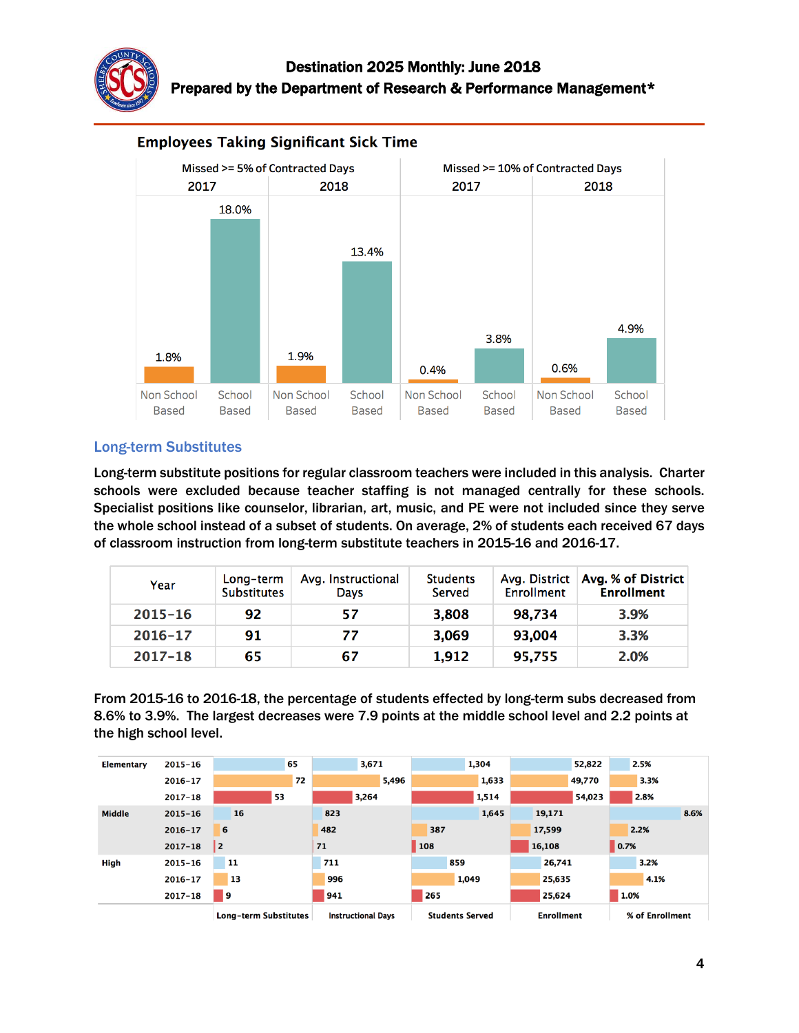



#### **Employees Taking Significant Sick Time**

#### Long-term Substitutes

Long-term substitute positions for regular classroom teachers were included in this analysis. Charter schools were excluded because teacher staffing is not managed centrally for these schools. Specialist positions like counselor, librarian, art, music, and PE were not included since they serve the whole school instead of a subset of students. On average, 2% of students each received 67 days of classroom instruction from long-term substitute teachers in 2015-16 and 2016-17.

| Year        | Long-term<br><b>Substitutes</b> | Avg. Instructional<br>Davs | <b>Students</b><br>Served | Enrollment | Avg. District   Avg. % of District  <br><b>Enrollment</b> |
|-------------|---------------------------------|----------------------------|---------------------------|------------|-----------------------------------------------------------|
| $2015 - 16$ | 92                              | 57                         | 3,808                     | 98,734     | 3.9%                                                      |
| $2016 - 17$ | 91                              | 77                         | 3,069                     | 93,004     | 3.3%                                                      |
| $2017 - 18$ | 65                              | 67                         | 1,912                     | 95,755     | 2.0%                                                      |

From 2015-16 to 2016-18, the percentage of students effected by long-term subs decreased from 8.6% to 3.9%. The largest decreases were 7.9 points at the middle school level and 2.2 points at the high school level.

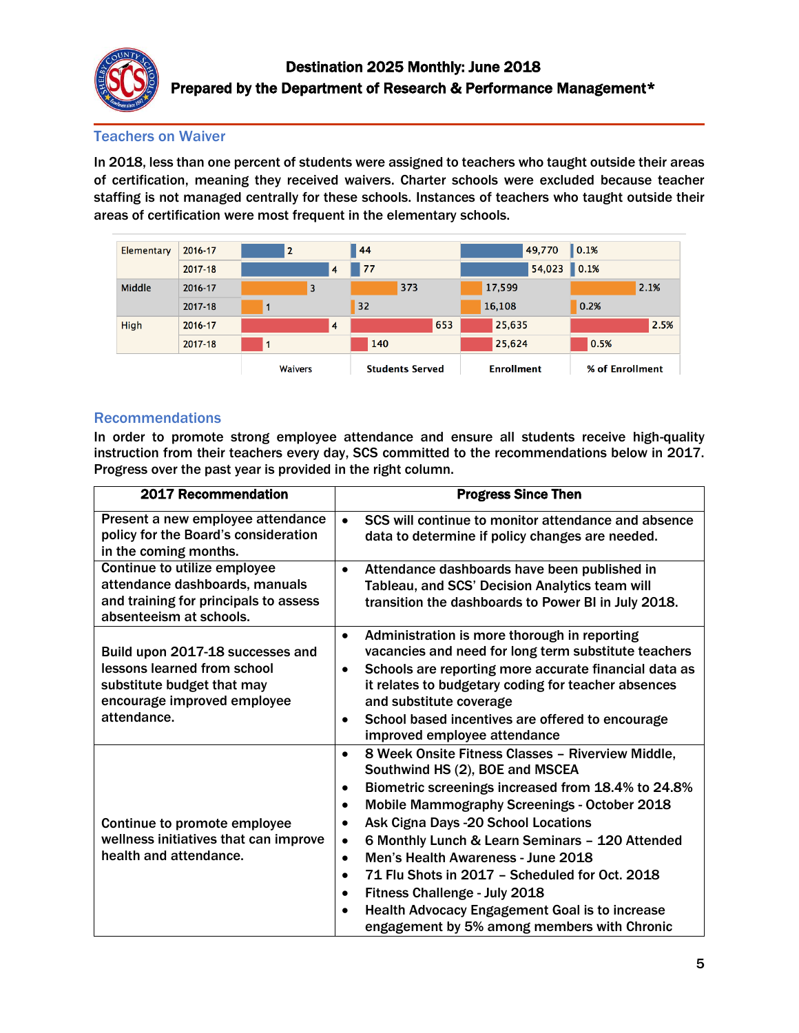

#### Teachers on Waiver

In 2018, less than one percent of students were assigned to teachers who taught outside their areas of certification, meaning they received waivers. Charter schools were excluded because teacher staffing is not managed centrally for these schools. Instances of teachers who taught outside their areas of certification were most frequent in the elementary schools.

| <b>Elementary</b> | 2016-17 | $\overline{2}$ |   | 44  |                        |        | 49,770            | 0.1% |                 |
|-------------------|---------|----------------|---|-----|------------------------|--------|-------------------|------|-----------------|
|                   | 2017-18 |                | 4 | 77  |                        |        | 54,023            | 0.1% |                 |
| Middle            | 2016-17 | 3              |   | 373 |                        | 17,599 |                   |      | 2.1%            |
|                   | 2017-18 |                |   | 32  |                        | 16,108 |                   | 0.2% |                 |
| High              | 2016-17 |                | 4 |     | 653                    |        | 25,635            |      | 2.5%            |
|                   | 2017-18 |                |   | 140 |                        |        | 25,624            | 0.5% |                 |
|                   |         | <b>Waivers</b> |   |     | <b>Students Served</b> |        | <b>Enrollment</b> |      | % of Enrollment |

#### Recommendations

In order to promote strong employee attendance and ensure all students receive high-quality instruction from their teachers every day, SCS committed to the recommendations below in 2017. Progress over the past year is provided in the right column.

| 2017 Recommendation                                                                                                                         | <b>Progress Since Then</b>                                                                                                                                                                                                                                                                                                                                                                                                                                                                                                                                                                  |
|---------------------------------------------------------------------------------------------------------------------------------------------|---------------------------------------------------------------------------------------------------------------------------------------------------------------------------------------------------------------------------------------------------------------------------------------------------------------------------------------------------------------------------------------------------------------------------------------------------------------------------------------------------------------------------------------------------------------------------------------------|
| Present a new employee attendance<br>policy for the Board's consideration<br>in the coming months.                                          | SCS will continue to monitor attendance and absence<br>$\bullet$<br>data to determine if policy changes are needed.                                                                                                                                                                                                                                                                                                                                                                                                                                                                         |
| Continue to utilize employee<br>attendance dashboards, manuals<br>and training for principals to assess<br>absenteeism at schools.          | Attendance dashboards have been published in<br>$\bullet$<br>Tableau, and SCS' Decision Analytics team will<br>transition the dashboards to Power BI in July 2018.                                                                                                                                                                                                                                                                                                                                                                                                                          |
| Build upon 2017-18 successes and<br>lessons learned from school<br>substitute budget that may<br>encourage improved employee<br>attendance. | Administration is more thorough in reporting<br>$\bullet$<br>vacancies and need for long term substitute teachers<br>Schools are reporting more accurate financial data as<br>$\bullet$<br>it relates to budgetary coding for teacher absences<br>and substitute coverage<br>School based incentives are offered to encourage<br>$\bullet$<br>improved employee attendance                                                                                                                                                                                                                  |
| Continue to promote employee<br>wellness initiatives that can improve<br>health and attendance.                                             | 8 Week Onsite Fitness Classes - Riverview Middle,<br>$\bullet$<br>Southwind HS (2), BOE and MSCEA<br>Biometric screenings increased from 18.4% to 24.8%<br>٠<br><b>Mobile Mammography Screenings - October 2018</b><br>Ask Cigna Days -20 School Locations<br>6 Monthly Lunch & Learn Seminars - 120 Attended<br>$\bullet$<br>Men's Health Awareness - June 2018<br>$\bullet$<br>71 Flu Shots in 2017 - Scheduled for Oct. 2018<br>$\bullet$<br>Fitness Challenge - July 2018<br>$\bullet$<br>Health Advocacy Engagement Goal is to increase<br>engagement by 5% among members with Chronic |